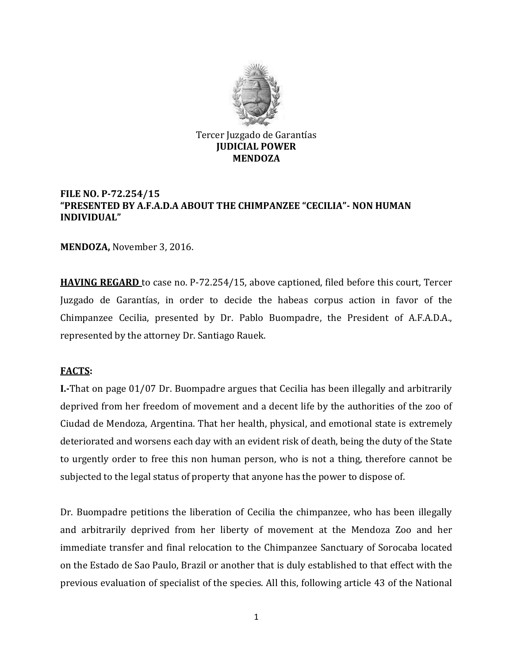

# Tercer Juzgado de Garantías **JUDICIAL POWER MENDOZA**

# **FILE NO. P-72.254/15 "PRESENTED BY A.F.A.D.A ABOUT THE CHIMPANZEE "CECILIA"- NON HUMAN INDIVIDUAL"**

**MENDOZA,** November 3, 2016.

**HAVING REGARD** to case no. P-72.254/15, above captioned, filed before this court, Tercer Juzgado de Garantías, in order to decide the habeas corpus action in favor of the Chimpanzee Cecilia, presented by Dr. Pablo Buompadre, the President of A.F.A.D.A., represented by the attorney Dr. Santiago Rauek.

## **FACTS:**

**I.-**That on page 01/07 Dr. Buompadre argues that Cecilia has been illegally and arbitrarily deprived from her freedom of movement and a decent life by the authorities of the zoo of Ciudad de Mendoza, Argentina. That her health, physical, and emotional state is extremely deteriorated and worsens each day with an evident risk of death, being the duty of the State to urgently order to free this non human person, who is not a thing, therefore cannot be subjected to the legal status of property that anyone has the power to dispose of.

Dr. Buompadre petitions the liberation of Cecilia the chimpanzee, who has been illegally and arbitrarily deprived from her liberty of movement at the Mendoza Zoo and her immediate transfer and final relocation to the Chimpanzee Sanctuary of Sorocaba located on the Estado de Sao Paulo, Brazil or another that is duly established to that effect with the previous evaluation of specialist of the species. All this, following article 43 of the National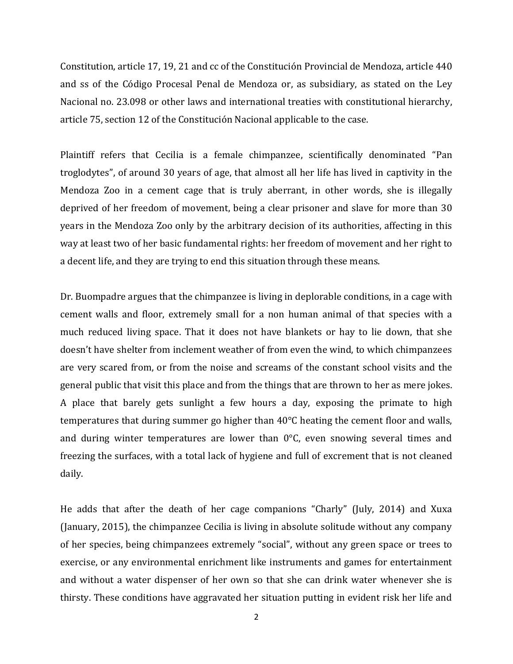Constitution, article 17, 19, 21 and cc of the Constitución Provincial de Mendoza, article 440 and ss of the Código Procesal Penal de Mendoza or, as subsidiary, as stated on the Ley Nacional no. 23.098 or other laws and international treaties with constitutional hierarchy, article 75, section 12 of the Constitución Nacional applicable to the case.

Plaintiff refers that Cecilia is a female chimpanzee, scientifically denominated "Pan troglodytes", of around 30 years of age, that almost all her life has lived in captivity in the Mendoza Zoo in a cement cage that is truly aberrant, in other words, she is illegally deprived of her freedom of movement, being a clear prisoner and slave for more than 30 years in the Mendoza Zoo only by the arbitrary decision of its authorities, affecting in this way at least two of her basic fundamental rights: her freedom of movement and her right to a decent life, and they are trying to end this situation through these means.

Dr. Buompadre argues that the chimpanzee is living in deplorable conditions, in a cage with cement walls and floor, extremely small for a non human animal of that species with a much reduced living space. That it does not have blankets or hay to lie down, that she doesn't have shelter from inclement weather of from even the wind, to which chimpanzees are very scared from, or from the noise and screams of the constant school visits and the general public that visit this place and from the things that are thrown to her as mere jokes. A place that barely gets sunlight a few hours a day, exposing the primate to high temperatures that during summer go higher than 40°C heating the cement floor and walls, and during winter temperatures are lower than  $0^{\circ}$ C, even snowing several times and freezing the surfaces, with a total lack of hygiene and full of excrement that is not cleaned daily.

He adds that after the death of her cage companions "Charly" (July, 2014) and Xuxa (January, 2015), the chimpanzee Cecilia is living in absolute solitude without any company of her species, being chimpanzees extremely "social", without any green space or trees to exercise, or any environmental enrichment like instruments and games for entertainment and without a water dispenser of her own so that she can drink water whenever she is thirsty. These conditions have aggravated her situation putting in evident risk her life and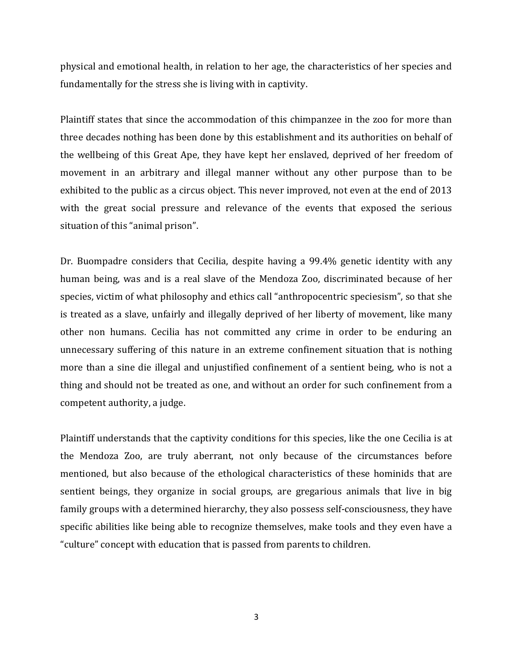physical and emotional health, in relation to her age, the characteristics of her species and fundamentally for the stress she is living with in captivity.

Plaintiff states that since the accommodation of this chimpanzee in the zoo for more than three decades nothing has been done by this establishment and its authorities on behalf of the wellbeing of this Great Ape, they have kept her enslaved, deprived of her freedom of movement in an arbitrary and illegal manner without any other purpose than to be exhibited to the public as a circus object. This never improved, not even at the end of 2013 with the great social pressure and relevance of the events that exposed the serious situation of this "animal prison".

Dr. Buompadre considers that Cecilia, despite having a 99.4% genetic identity with any human being, was and is a real slave of the Mendoza Zoo, discriminated because of her species, victim of what philosophy and ethics call "anthropocentric speciesism", so that she is treated as a slave, unfairly and illegally deprived of her liberty of movement, like many other non humans. Cecilia has not committed any crime in order to be enduring an unnecessary suffering of this nature in an extreme confinement situation that is nothing more than a sine die illegal and unjustified confinement of a sentient being, who is not a thing and should not be treated as one, and without an order for such confinement from a competent authority, a judge.

Plaintiff understands that the captivity conditions for this species, like the one Cecilia is at the Mendoza Zoo, are truly aberrant, not only because of the circumstances before mentioned, but also because of the ethological characteristics of these hominids that are sentient beings, they organize in social groups, are gregarious animals that live in big family groups with a determined hierarchy, they also possess self-consciousness, they have specific abilities like being able to recognize themselves, make tools and they even have a "culture" concept with education that is passed from parents to children.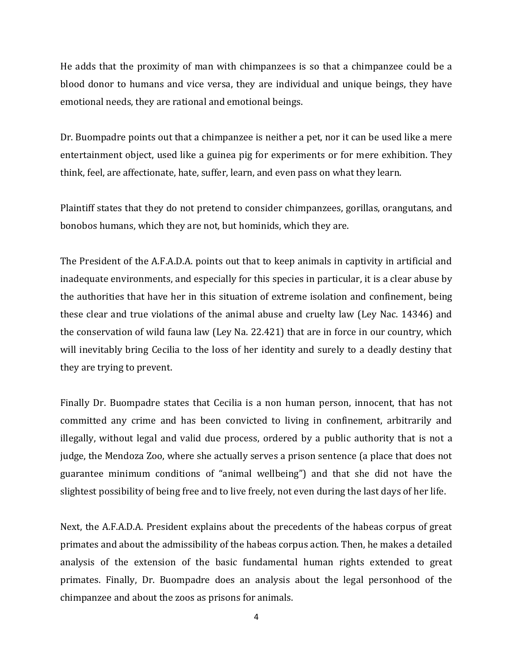He adds that the proximity of man with chimpanzees is so that a chimpanzee could be a blood donor to humans and vice versa, they are individual and unique beings, they have emotional needs, they are rational and emotional beings.

Dr. Buompadre points out that a chimpanzee is neither a pet, nor it can be used like a mere entertainment object, used like a guinea pig for experiments or for mere exhibition. They think, feel, are affectionate, hate, suffer, learn, and even pass on what they learn.

Plaintiff states that they do not pretend to consider chimpanzees, gorillas, orangutans, and bonobos humans, which they are not, but hominids, which they are.

The President of the A.F.A.D.A. points out that to keep animals in captivity in artificial and inadequate environments, and especially for this species in particular, it is a clear abuse by the authorities that have her in this situation of extreme isolation and confinement, being these clear and true violations of the animal abuse and cruelty law (Ley Nac. 14346) and the conservation of wild fauna law (Ley Na. 22.421) that are in force in our country, which will inevitably bring Cecilia to the loss of her identity and surely to a deadly destiny that they are trying to prevent.

Finally Dr. Buompadre states that Cecilia is a non human person, innocent, that has not committed any crime and has been convicted to living in confinement, arbitrarily and illegally, without legal and valid due process, ordered by a public authority that is not a judge, the Mendoza Zoo, where she actually serves a prison sentence (a place that does not guarantee minimum conditions of "animal wellbeing") and that she did not have the slightest possibility of being free and to live freely, not even during the last days of her life.

Next, the A.F.A.D.A. President explains about the precedents of the habeas corpus of great primates and about the admissibility of the habeas corpus action. Then, he makes a detailed analysis of the extension of the basic fundamental human rights extended to great primates. Finally, Dr. Buompadre does an analysis about the legal personhood of the chimpanzee and about the zoos as prisons for animals.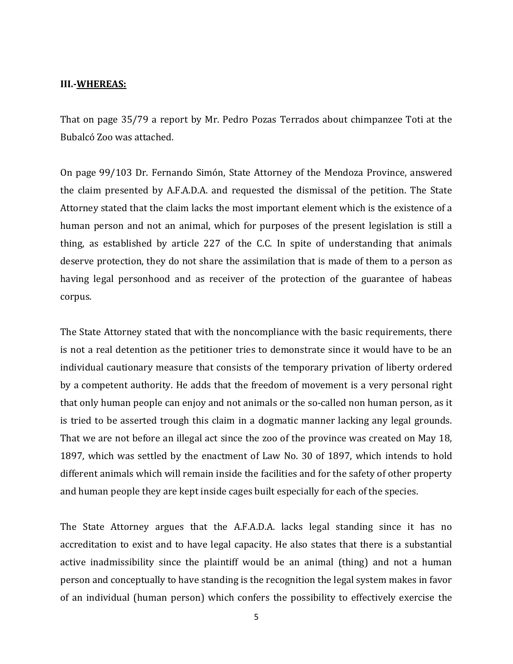#### **III.-WHEREAS:**

That on page 35/79 a report by Mr. Pedro Pozas Terrados about chimpanzee Toti at the Bubalcó Zoo was attached.

On page 99/103 Dr. Fernando Simón, State Attorney of the Mendoza Province, answered the claim presented by A.F.A.D.A. and requested the dismissal of the petition. The State Attorney stated that the claim lacks the most important element which is the existence of a human person and not an animal, which for purposes of the present legislation is still a thing, as established by article 227 of the C.C. In spite of understanding that animals deserve protection, they do not share the assimilation that is made of them to a person as having legal personhood and as receiver of the protection of the guarantee of habeas corpus.

The State Attorney stated that with the noncompliance with the basic requirements, there is not a real detention as the petitioner tries to demonstrate since it would have to be an individual cautionary measure that consists of the temporary privation of liberty ordered by a competent authority. He adds that the freedom of movement is a very personal right that only human people can enjoy and not animals or the so-called non human person, as it is tried to be asserted trough this claim in a dogmatic manner lacking any legal grounds. That we are not before an illegal act since the zoo of the province was created on May 18, 1897, which was settled by the enactment of Law No. 30 of 1897, which intends to hold different animals which will remain inside the facilities and for the safety of other property and human people they are kept inside cages built especially for each of the species.

The State Attorney argues that the A.F.A.D.A. lacks legal standing since it has no accreditation to exist and to have legal capacity. He also states that there is a substantial active inadmissibility since the plaintiff would be an animal (thing) and not a human person and conceptually to have standing is the recognition the legal system makes in favor of an individual (human person) which confers the possibility to effectively exercise the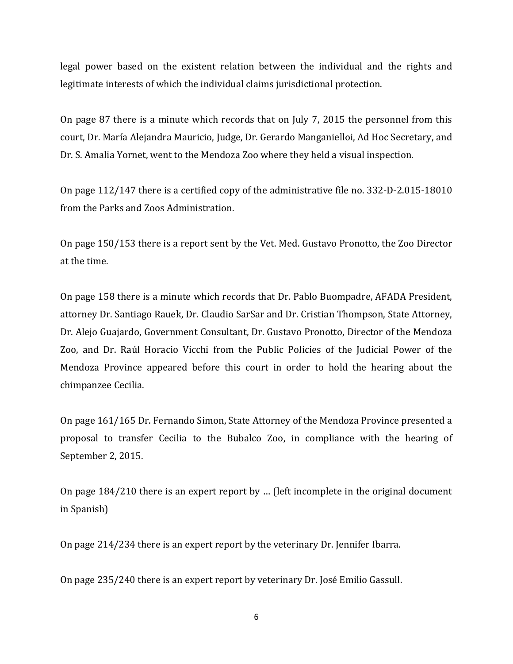legal power based on the existent relation between the individual and the rights and legitimate interests of which the individual claims jurisdictional protection.

On page 87 there is a minute which records that on July 7, 2015 the personnel from this court, Dr. María Alejandra Mauricio, Judge, Dr. Gerardo Manganielloi, Ad Hoc Secretary, and Dr. S. Amalia Yornet, went to the Mendoza Zoo where they held a visual inspection.

On page 112/147 there is a certified copy of the administrative file no. 332-D-2.015-18010 from the Parks and Zoos Administration.

On page 150/153 there is a report sent by the Vet. Med. Gustavo Pronotto, the Zoo Director at the time.

On page 158 there is a minute which records that Dr. Pablo Buompadre, AFADA President, attorney Dr. Santiago Rauek, Dr. Claudio SarSar and Dr. Cristian Thompson, State Attorney, Dr. Alejo Guajardo, Government Consultant, Dr. Gustavo Pronotto, Director of the Mendoza Zoo, and Dr. Raúl Horacio Vicchi from the Public Policies of the Judicial Power of the Mendoza Province appeared before this court in order to hold the hearing about the chimpanzee Cecilia.

On page 161/165 Dr. Fernando Simon, State Attorney of the Mendoza Province presented a proposal to transfer Cecilia to the Bubalco Zoo, in compliance with the hearing of September 2, 2015.

On page 184/210 there is an expert report by … (left incomplete in the original document in Spanish)

On page 214/234 there is an expert report by the veterinary Dr. Jennifer Ibarra.

On page 235/240 there is an expert report by veterinary Dr. José Emilio Gassull.

6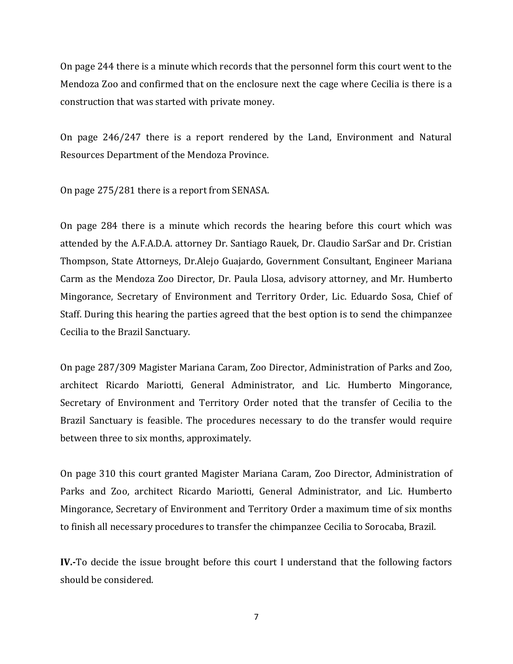On page 244 there is a minute which records that the personnel form this court went to the Mendoza Zoo and confirmed that on the enclosure next the cage where Cecilia is there is a construction that was started with private money.

On page 246/247 there is a report rendered by the Land, Environment and Natural Resources Department of the Mendoza Province.

On page 275/281 there is a report from SENASA.

On page 284 there is a minute which records the hearing before this court which was attended by the A.F.A.D.A. attorney Dr. Santiago Rauek, Dr. Claudio SarSar and Dr. Cristian Thompson, State Attorneys, Dr.Alejo Guajardo, Government Consultant, Engineer Mariana Carm as the Mendoza Zoo Director, Dr. Paula Llosa, advisory attorney, and Mr. Humberto Mingorance, Secretary of Environment and Territory Order, Lic. Eduardo Sosa, Chief of Staff. During this hearing the parties agreed that the best option is to send the chimpanzee Cecilia to the Brazil Sanctuary.

On page 287/309 Magister Mariana Caram, Zoo Director, Administration of Parks and Zoo, architect Ricardo Mariotti, General Administrator, and Lic. Humberto Mingorance, Secretary of Environment and Territory Order noted that the transfer of Cecilia to the Brazil Sanctuary is feasible. The procedures necessary to do the transfer would require between three to six months, approximately.

On page 310 this court granted Magister Mariana Caram, Zoo Director, Administration of Parks and Zoo, architect Ricardo Mariotti, General Administrator, and Lic. Humberto Mingorance, Secretary of Environment and Territory Order a maximum time of six months to finish all necessary procedures to transfer the chimpanzee Cecilia to Sorocaba, Brazil.

**IV.-**To decide the issue brought before this court I understand that the following factors should be considered.

7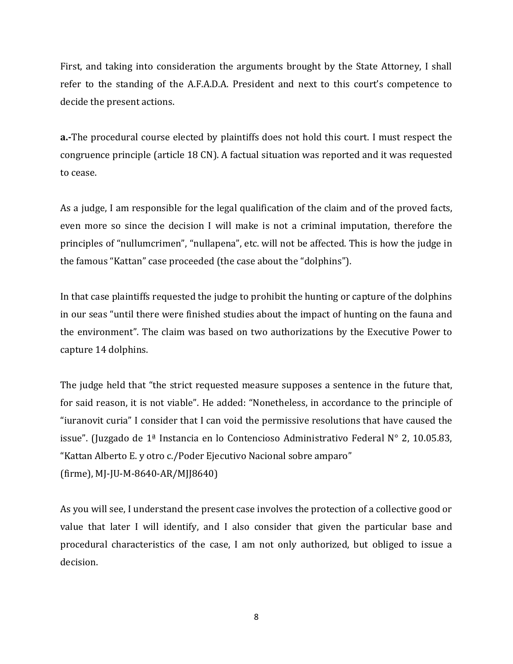First, and taking into consideration the arguments brought by the State Attorney, I shall refer to the standing of the A.F.A.D.A. President and next to this court's competence to decide the present actions.

**a.-**The procedural course elected by plaintiffs does not hold this court. I must respect the congruence principle (article 18 CN). A factual situation was reported and it was requested to cease.

As a judge, I am responsible for the legal qualification of the claim and of the proved facts, even more so since the decision I will make is not a criminal imputation, therefore the principles of "nullumcrimen", "nullapena", etc. will not be affected. This is how the judge in the famous "Kattan" case proceeded (the case about the "dolphins").

In that case plaintiffs requested the judge to prohibit the hunting or capture of the dolphins in our seas "until there were finished studies about the impact of hunting on the fauna and the environment". The claim was based on two authorizations by the Executive Power to capture 14 dolphins.

The judge held that "the strict requested measure supposes a sentence in the future that, for said reason, it is not viable". He added: "Nonetheless, in accordance to the principle of "iuranovit curia" I consider that I can void the permissive resolutions that have caused the issue". (Juzgado de 1ª Instancia en lo Contencioso Administrativo Federal N° 2, 10.05.83, "Kattan Alberto E. y otro c./Poder Ejecutivo Nacional sobre amparo" (firme), MJ-JU-M-8640-AR/MJJ8640)

As you will see, I understand the present case involves the protection of a collective good or value that later I will identify, and I also consider that given the particular base and procedural characteristics of the case, I am not only authorized, but obliged to issue a decision.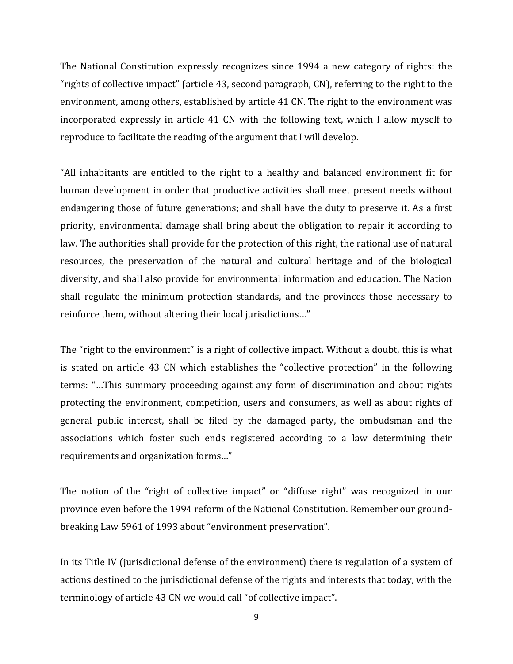The National Constitution expressly recognizes since 1994 a new category of rights: the "rights of collective impact" (article 43, second paragraph, CN), referring to the right to the environment, among others, established by article 41 CN. The right to the environment was incorporated expressly in article 41 CN with the following text, which I allow myself to reproduce to facilitate the reading of the argument that I will develop.

"All inhabitants are entitled to the right to a healthy and balanced environment fit for human development in order that productive activities shall meet present needs without endangering those of future generations; and shall have the duty to preserve it. As a first priority, environmental damage shall bring about the obligation to repair it according to law. The authorities shall provide for the protection of this right, the rational use of natural resources, the preservation of the natural and cultural heritage and of the biological diversity, and shall also provide for environmental information and education. The Nation shall regulate the minimum protection standards, and the provinces those necessary to reinforce them, without altering their local jurisdictions…"

The "right to the environment" is a right of collective impact. Without a doubt, this is what is stated on article 43 CN which establishes the "collective protection" in the following terms: "…This summary proceeding against any form of discrimination and about rights protecting the environment, competition, users and consumers, as well as about rights of general public interest, shall be filed by the damaged party, the ombudsman and the associations which foster such ends registered according to a law determining their requirements and organization forms…"

The notion of the "right of collective impact" or "diffuse right" was recognized in our province even before the 1994 reform of the National Constitution. Remember our groundbreaking Law 5961 of 1993 about "environment preservation".

In its Title IV (jurisdictional defense of the environment) there is regulation of a system of actions destined to the jurisdictional defense of the rights and interests that today, with the terminology of article 43 CN we would call "of collective impact".

9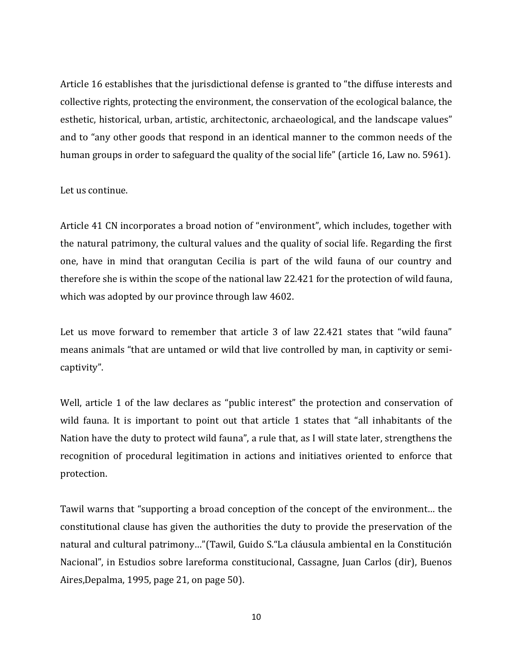Article 16 establishes that the jurisdictional defense is granted to "the diffuse interests and collective rights, protecting the environment, the conservation of the ecological balance, the esthetic, historical, urban, artistic, architectonic, archaeological, and the landscape values" and to "any other goods that respond in an identical manner to the common needs of the human groups in order to safeguard the quality of the social life" (article 16, Law no. 5961).

Let us continue.

Article 41 CN incorporates a broad notion of "environment", which includes, together with the natural patrimony, the cultural values and the quality of social life. Regarding the first one, have in mind that orangutan Cecilia is part of the wild fauna of our country and therefore she is within the scope of the national law 22.421 for the protection of wild fauna, which was adopted by our province through law 4602.

Let us move forward to remember that article 3 of law 22.421 states that "wild fauna" means animals "that are untamed or wild that live controlled by man, in captivity or semicaptivity".

Well, article 1 of the law declares as "public interest" the protection and conservation of wild fauna. It is important to point out that article 1 states that "all inhabitants of the Nation have the duty to protect wild fauna", a rule that, as I will state later, strengthens the recognition of procedural legitimation in actions and initiatives oriented to enforce that protection.

Tawil warns that "supporting a broad conception of the concept of the environment… the constitutional clause has given the authorities the duty to provide the preservation of the natural and cultural patrimony…"(Tawil, Guido S."La cláusula ambiental en la Constitución Nacional", in Estudios sobre lareforma constitucional, Cassagne, Juan Carlos (dir), Buenos Aires,Depalma, 1995, page 21, on page 50).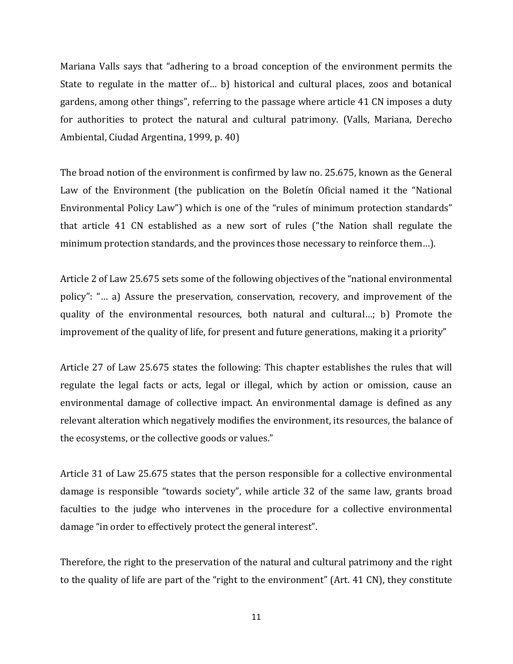Mariana Valls says that "adhering to a broad conception of the environment permits the State to regulate in the matter of… b) historical and cultural places, zoos and botanical gardens, among other things", referring to the passage where article 41 CN imposes a duty for authorities to protect the natural and cultural patrimony. (Valls, Mariana, Derecho Ambiental, Ciudad Argentina, 1999, p. 40)

The broad notion of the environment is confirmed by law no. 25.675, known as the General Law of the Environment (the publication on the Boletín Oficial named it the "National Environmental Policy Law") which is one of the "rules of minimum protection standards" that article 41 CN established as a new sort of rules ("the Nation shall regulate the minimum protection standards, and the provinces those necessary to reinforce them…).

Article 2 of Law 25.675 sets some of the following objectives of the "national environmental policy": "… a) Assure the preservation, conservation, recovery, and improvement of the quality of the environmental resources, both natural and cultural…; b) Promote the improvement of the quality of life, for present and future generations, making it a priority"

Article 27 of Law 25.675 states the following: This chapter establishes the rules that will regulate the legal facts or acts, legal or illegal, which by action or omission, cause an environmental damage of collective impact. An environmental damage is defined as any relevant alteration which negatively modifies the environment, its resources, the balance of the ecosystems, or the collective goods or values."

Article 31 of Law 25.675 states that the person responsible for a collective environmental damage is responsible "towards society", while article 32 of the same law, grants broad faculties to the judge who intervenes in the procedure for a collective environmental damage "in order to effectively protect the general interest".

Therefore, the right to the preservation of the natural and cultural patrimony and the right to the quality of life are part of the "right to the environment" (Art. 41 CN), they constitute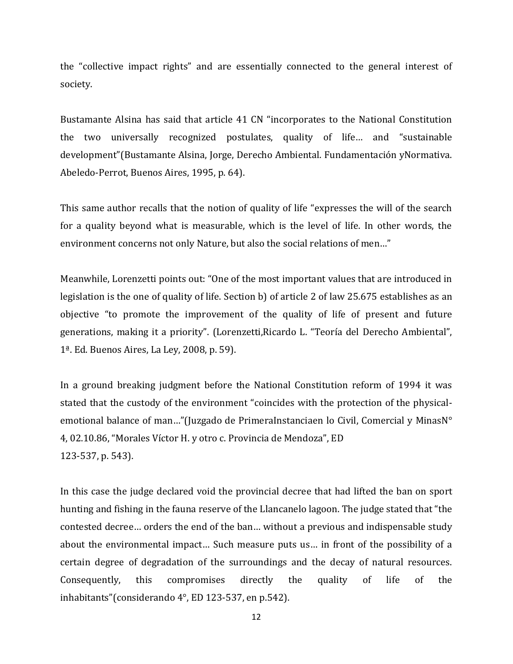the "collective impact rights" and are essentially connected to the general interest of society.

Bustamante Alsina has said that article 41 CN "incorporates to the National Constitution the two universally recognized postulates, quality of life… and "sustainable development"(Bustamante Alsina, Jorge, Derecho Ambiental. Fundamentación yNormativa. Abeledo-Perrot, Buenos Aires, 1995, p. 64).

This same author recalls that the notion of quality of life "expresses the will of the search for a quality beyond what is measurable, which is the level of life. In other words, the environment concerns not only Nature, but also the social relations of men…"

Meanwhile, Lorenzetti points out: "One of the most important values that are introduced in legislation is the one of quality of life. Section b) of article 2 of law 25.675 establishes as an objective "to promote the improvement of the quality of life of present and future generations, making it a priority". (Lorenzetti,Ricardo L. "Teoría del Derecho Ambiental", 1ª. Ed. Buenos Aires, La Ley, 2008, p. 59).

In a ground breaking judgment before the National Constitution reform of 1994 it was stated that the custody of the environment "coincides with the protection of the physicalemotional balance of man…"(Juzgado de PrimeraInstanciaen lo Civil, Comercial y MinasN° 4, 02.10.86, "Morales Víctor H. y otro c. Provincia de Mendoza", ED 123-537, p. 543).

In this case the judge declared void the provincial decree that had lifted the ban on sport hunting and fishing in the fauna reserve of the Llancanelo lagoon. The judge stated that "the contested decree… orders the end of the ban… without a previous and indispensable study about the environmental impact… Such measure puts us… in front of the possibility of a certain degree of degradation of the surroundings and the decay of natural resources. Consequently, this compromises directly the quality of life of the inhabitants"(considerando 4°, ED 123-537, en p.542).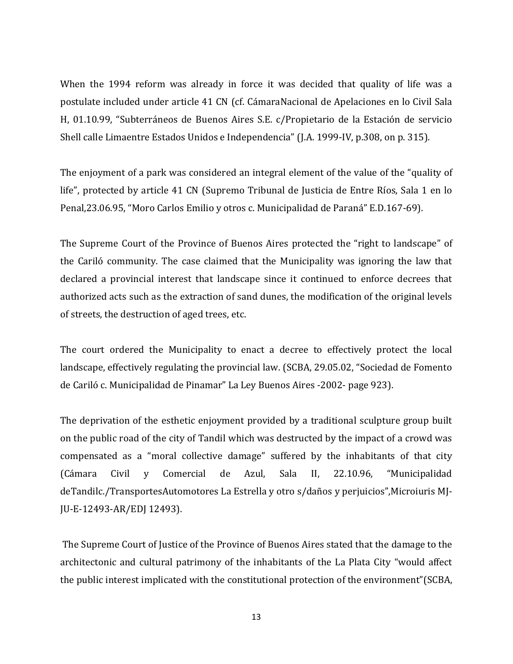When the 1994 reform was already in force it was decided that quality of life was a postulate included under article 41 CN (cf. CámaraNacional de Apelaciones en lo Civil Sala H, 01.10.99, "Subterráneos de Buenos Aires S.E. c/Propietario de la Estación de servicio Shell calle Limaentre Estados Unidos e Independencia" (J.A. 1999-IV, p.308, on p. 315).

The enjoyment of a park was considered an integral element of the value of the "quality of life", protected by article 41 CN (Supremo Tribunal de Justicia de Entre Ríos, Sala 1 en lo Penal,23.06.95, "Moro Carlos Emilio y otros c. Municipalidad de Paraná" E.D.167-69).

The Supreme Court of the Province of Buenos Aires protected the "right to landscape" of the Cariló community. The case claimed that the Municipality was ignoring the law that declared a provincial interest that landscape since it continued to enforce decrees that authorized acts such as the extraction of sand dunes, the modification of the original levels of streets, the destruction of aged trees, etc.

The court ordered the Municipality to enact a decree to effectively protect the local landscape, effectively regulating the provincial law. (SCBA, 29.05.02, "Sociedad de Fomento de Cariló c. Municipalidad de Pinamar" La Ley Buenos Aires -2002- page 923).

The deprivation of the esthetic enjoyment provided by a traditional sculpture group built on the public road of the city of Tandil which was destructed by the impact of a crowd was compensated as a "moral collective damage" suffered by the inhabitants of that city (Cámara Civil y Comercial de Azul, Sala II, 22.10.96, "Municipalidad deTandilc./TransportesAutomotores La Estrella y otro s/daños y perjuicios",Microiuris MJ-JU-E-12493-AR/EDJ 12493).

The Supreme Court of Justice of the Province of Buenos Aires stated that the damage to the architectonic and cultural patrimony of the inhabitants of the La Plata City "would affect the public interest implicated with the constitutional protection of the environment"(SCBA,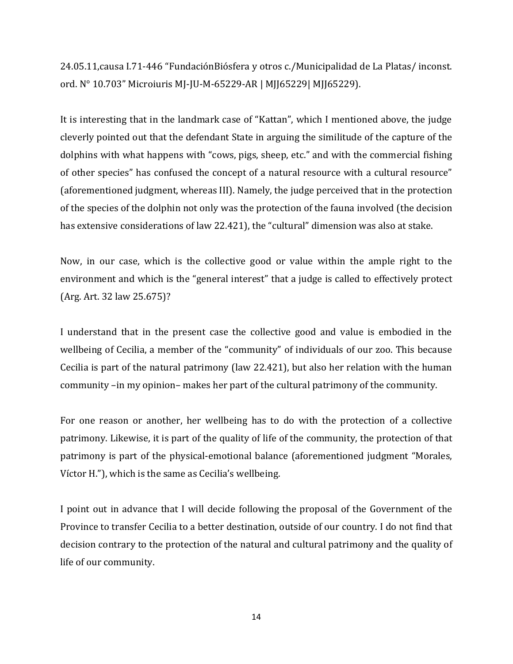24.05.11,causa I.71-446 "FundaciónBiósfera y otros c./Municipalidad de La Platas/ inconst. ord. N° 10.703" Microiuris MJ-JU-M-65229-AR | MJJ65229| MJJ65229).

It is interesting that in the landmark case of "Kattan", which I mentioned above, the judge cleverly pointed out that the defendant State in arguing the similitude of the capture of the dolphins with what happens with "cows, pigs, sheep, etc." and with the commercial fishing of other species" has confused the concept of a natural resource with a cultural resource" (aforementioned judgment, whereas III). Namely, the judge perceived that in the protection of the species of the dolphin not only was the protection of the fauna involved (the decision has extensive considerations of law 22.421), the "cultural" dimension was also at stake.

Now, in our case, which is the collective good or value within the ample right to the environment and which is the "general interest" that a judge is called to effectively protect (Arg. Art. 32 law 25.675)?

I understand that in the present case the collective good and value is embodied in the wellbeing of Cecilia, a member of the "community" of individuals of our zoo. This because Cecilia is part of the natural patrimony (law 22.421), but also her relation with the human community –in my opinion– makes her part of the cultural patrimony of the community.

For one reason or another, her wellbeing has to do with the protection of a collective patrimony. Likewise, it is part of the quality of life of the community, the protection of that patrimony is part of the physical-emotional balance (aforementioned judgment "Morales, Víctor H."), which is the same as Cecilia's wellbeing.

I point out in advance that I will decide following the proposal of the Government of the Province to transfer Cecilia to a better destination, outside of our country. I do not find that decision contrary to the protection of the natural and cultural patrimony and the quality of life of our community.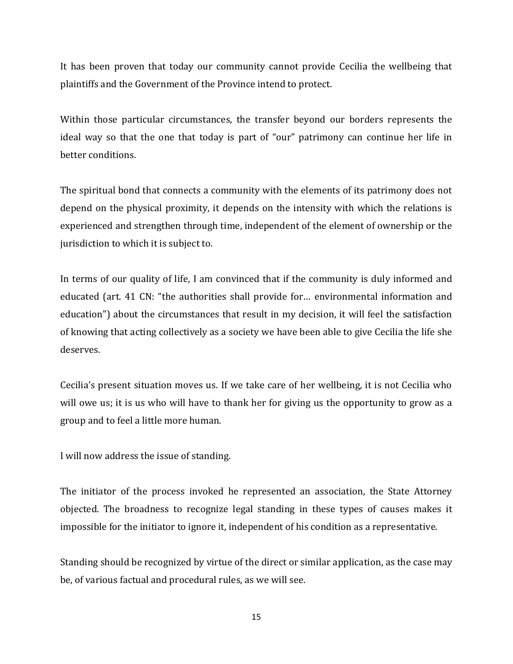It has been proven that today our community cannot provide Cecilia the wellbeing that plaintiffs and the Government of the Province intend to protect.

Within those particular circumstances, the transfer beyond our borders represents the ideal way so that the one that today is part of "our" patrimony can continue her life in better conditions.

The spiritual bond that connects a community with the elements of its patrimony does not depend on the physical proximity, it depends on the intensity with which the relations is experienced and strengthen through time, independent of the element of ownership or the jurisdiction to which it is subject to.

In terms of our quality of life, I am convinced that if the community is duly informed and educated (art. 41 CN: "the authorities shall provide for… environmental information and education") about the circumstances that result in my decision, it will feel the satisfaction of knowing that acting collectively as a society we have been able to give Cecilia the life she deserves.

Cecilia's present situation moves us. If we take care of her wellbeing, it is not Cecilia who will owe us; it is us who will have to thank her for giving us the opportunity to grow as a group and to feel a little more human.

I will now address the issue of standing.

The initiator of the process invoked he represented an association, the State Attorney objected. The broadness to recognize legal standing in these types of causes makes it impossible for the initiator to ignore it, independent of his condition as a representative.

Standing should be recognized by virtue of the direct or similar application, as the case may be, of various factual and procedural rules, as we will see.

15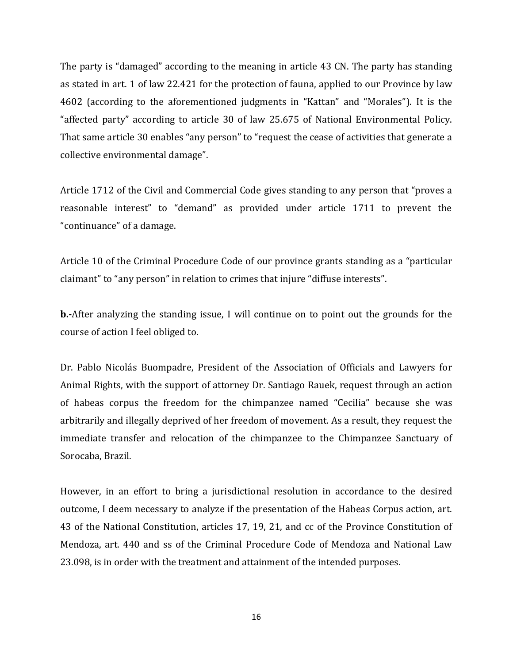The party is "damaged" according to the meaning in article 43 CN. The party has standing as stated in art. 1 of law 22.421 for the protection of fauna, applied to our Province by law 4602 (according to the aforementioned judgments in "Kattan" and "Morales"). It is the "affected party" according to article 30 of law 25.675 of National Environmental Policy. That same article 30 enables "any person" to "request the cease of activities that generate a collective environmental damage".

Article 1712 of the Civil and Commercial Code gives standing to any person that "proves a reasonable interest" to "demand" as provided under article 1711 to prevent the "continuance" of a damage.

Article 10 of the Criminal Procedure Code of our province grants standing as a "particular claimant" to "any person" in relation to crimes that injure "diffuse interests".

**b.-**After analyzing the standing issue, I will continue on to point out the grounds for the course of action I feel obliged to.

Dr. Pablo Nicolás Buompadre, President of the Association of Officials and Lawyers for Animal Rights, with the support of attorney Dr. Santiago Rauek, request through an action of habeas corpus the freedom for the chimpanzee named "Cecilia" because she was arbitrarily and illegally deprived of her freedom of movement. As a result, they request the immediate transfer and relocation of the chimpanzee to the Chimpanzee Sanctuary of Sorocaba, Brazil.

However, in an effort to bring a jurisdictional resolution in accordance to the desired outcome, I deem necessary to analyze if the presentation of the Habeas Corpus action, art. 43 of the National Constitution, articles 17, 19, 21, and cc of the Province Constitution of Mendoza, art. 440 and ss of the Criminal Procedure Code of Mendoza and National Law 23.098, is in order with the treatment and attainment of the intended purposes.

16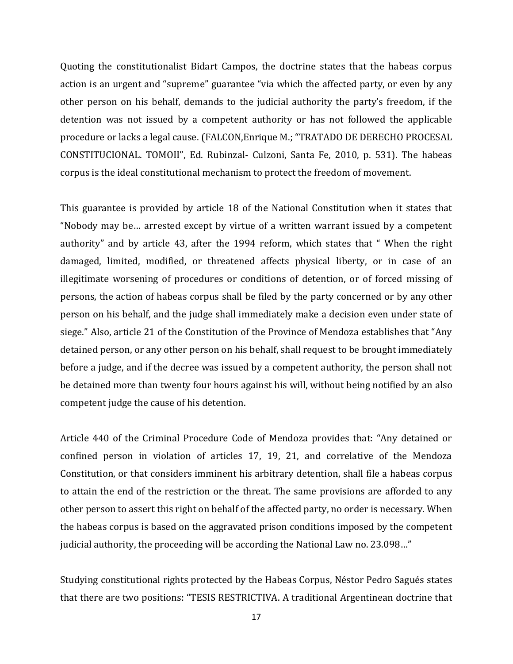Quoting the constitutionalist Bidart Campos, the doctrine states that the habeas corpus action is an urgent and "supreme" guarantee "via which the affected party, or even by any other person on his behalf, demands to the judicial authority the party's freedom, if the detention was not issued by a competent authority or has not followed the applicable procedure or lacks a legal cause. (FALCON,Enrique M.; "TRATADO DE DERECHO PROCESAL CONSTITUCIONAL. TOMOII", Ed. Rubinzal- Culzoni, Santa Fe, 2010, p. 531). The habeas corpus is the ideal constitutional mechanism to protect the freedom of movement.

This guarantee is provided by article 18 of the National Constitution when it states that "Nobody may be… arrested except by virtue of a written warrant issued by a competent authority" and by article 43, after the 1994 reform, which states that " When the right damaged, limited, modified, or threatened affects physical liberty, or in case of an illegitimate worsening of procedures or conditions of detention, or of forced missing of persons, the action of habeas corpus shall be filed by the party concerned or by any other person on his behalf, and the judge shall immediately make a decision even under state of siege." Also, article 21 of the Constitution of the Province of Mendoza establishes that "Any detained person, or any other person on his behalf, shall request to be brought immediately before a judge, and if the decree was issued by a competent authority, the person shall not be detained more than twenty four hours against his will, without being notified by an also competent judge the cause of his detention.

Article 440 of the Criminal Procedure Code of Mendoza provides that: "Any detained or confined person in violation of articles 17, 19, 21, and correlative of the Mendoza Constitution, or that considers imminent his arbitrary detention, shall file a habeas corpus to attain the end of the restriction or the threat. The same provisions are afforded to any other person to assert this right on behalf of the affected party, no order is necessary. When the habeas corpus is based on the aggravated prison conditions imposed by the competent judicial authority, the proceeding will be according the National Law no. 23.098…"

Studying constitutional rights protected by the Habeas Corpus, Néstor Pedro Sagués states that there are two positions: "TESIS RESTRICTIVA. A traditional Argentinean doctrine that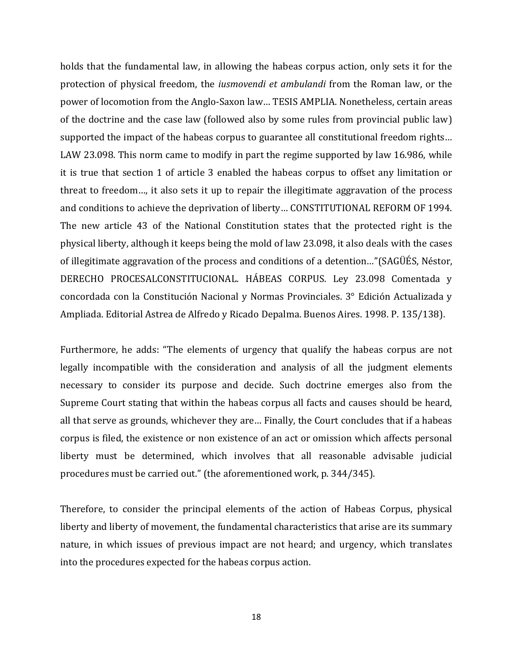holds that the fundamental law, in allowing the habeas corpus action, only sets it for the protection of physical freedom, the *iusmovendi et ambulandi* from the Roman law, or the power of locomotion from the Anglo-Saxon law… TESIS AMPLIA. Nonetheless, certain areas of the doctrine and the case law (followed also by some rules from provincial public law) supported the impact of the habeas corpus to guarantee all constitutional freedom rights… LAW 23.098. This norm came to modify in part the regime supported by law 16.986, while it is true that section 1 of article 3 enabled the habeas corpus to offset any limitation or threat to freedom…, it also sets it up to repair the illegitimate aggravation of the process and conditions to achieve the deprivation of liberty… CONSTITUTIONAL REFORM OF 1994. The new article 43 of the National Constitution states that the protected right is the physical liberty, although it keeps being the mold of law 23.098, it also deals with the cases of illegitimate aggravation of the process and conditions of a detention…"(SAGÜÉS, Néstor, DERECHO PROCESALCONSTITUCIONAL. HÁBEAS CORPUS. Ley 23.098 Comentada y concordada con la Constitución Nacional y Normas Provinciales. 3° Edición Actualizada y Ampliada. Editorial Astrea de Alfredo y Ricado Depalma. Buenos Aires. 1998. P. 135/138).

Furthermore, he adds: "The elements of urgency that qualify the habeas corpus are not legally incompatible with the consideration and analysis of all the judgment elements necessary to consider its purpose and decide. Such doctrine emerges also from the Supreme Court stating that within the habeas corpus all facts and causes should be heard, all that serve as grounds, whichever they are… Finally, the Court concludes that if a habeas corpus is filed, the existence or non existence of an act or omission which affects personal liberty must be determined, which involves that all reasonable advisable judicial procedures must be carried out." (the aforementioned work, p. 344/345).

Therefore, to consider the principal elements of the action of Habeas Corpus, physical liberty and liberty of movement, the fundamental characteristics that arise are its summary nature, in which issues of previous impact are not heard; and urgency, which translates into the procedures expected for the habeas corpus action.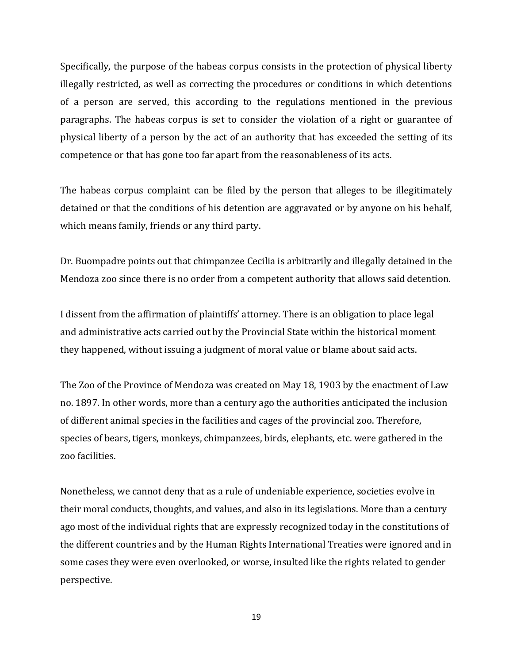Specifically, the purpose of the habeas corpus consists in the protection of physical liberty illegally restricted, as well as correcting the procedures or conditions in which detentions of a person are served, this according to the regulations mentioned in the previous paragraphs. The habeas corpus is set to consider the violation of a right or guarantee of physical liberty of a person by the act of an authority that has exceeded the setting of its competence or that has gone too far apart from the reasonableness of its acts.

The habeas corpus complaint can be filed by the person that alleges to be illegitimately detained or that the conditions of his detention are aggravated or by anyone on his behalf, which means family, friends or any third party.

Dr. Buompadre points out that chimpanzee Cecilia is arbitrarily and illegally detained in the Mendoza zoo since there is no order from a competent authority that allows said detention.

I dissent from the affirmation of plaintiffs' attorney. There is an obligation to place legal and administrative acts carried out by the Provincial State within the historical moment they happened, without issuing a judgment of moral value or blame about said acts.

The Zoo of the Province of Mendoza was created on May 18, 1903 by the enactment of Law no. 1897. In other words, more than a century ago the authorities anticipated the inclusion of different animal species in the facilities and cages of the provincial zoo. Therefore, species of bears, tigers, monkeys, chimpanzees, birds, elephants, etc. were gathered in the zoo facilities.

Nonetheless, we cannot deny that as a rule of undeniable experience, societies evolve in their moral conducts, thoughts, and values, and also in its legislations. More than a century ago most of the individual rights that are expressly recognized today in the constitutions of the different countries and by the Human Rights International Treaties were ignored and in some cases they were even overlooked, or worse, insulted like the rights related to gender perspective.

19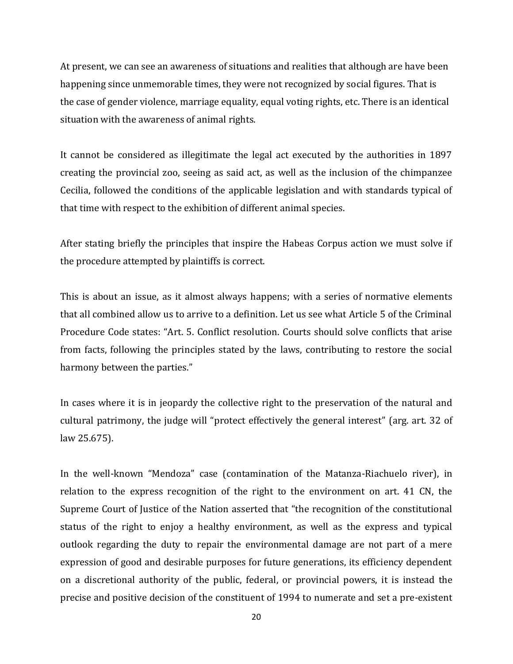At present, we can see an awareness of situations and realities that although are have been happening since unmemorable times, they were not recognized by social figures. That is the case of gender violence, marriage equality, equal voting rights, etc. There is an identical situation with the awareness of animal rights.

It cannot be considered as illegitimate the legal act executed by the authorities in 1897 creating the provincial zoo, seeing as said act, as well as the inclusion of the chimpanzee Cecilia, followed the conditions of the applicable legislation and with standards typical of that time with respect to the exhibition of different animal species.

After stating briefly the principles that inspire the Habeas Corpus action we must solve if the procedure attempted by plaintiffs is correct.

This is about an issue, as it almost always happens; with a series of normative elements that all combined allow us to arrive to a definition. Let us see what Article 5 of the Criminal Procedure Code states: "Art. 5. Conflict resolution. Courts should solve conflicts that arise from facts, following the principles stated by the laws, contributing to restore the social harmony between the parties."

In cases where it is in jeopardy the collective right to the preservation of the natural and cultural patrimony, the judge will "protect effectively the general interest" (arg. art. 32 of law 25.675).

In the well-known "Mendoza" case (contamination of the Matanza-Riachuelo river), in relation to the express recognition of the right to the environment on art. 41 CN, the Supreme Court of Justice of the Nation asserted that "the recognition of the constitutional status of the right to enjoy a healthy environment, as well as the express and typical outlook regarding the duty to repair the environmental damage are not part of a mere expression of good and desirable purposes for future generations, its efficiency dependent on a discretional authority of the public, federal, or provincial powers, it is instead the precise and positive decision of the constituent of 1994 to numerate and set a pre-existent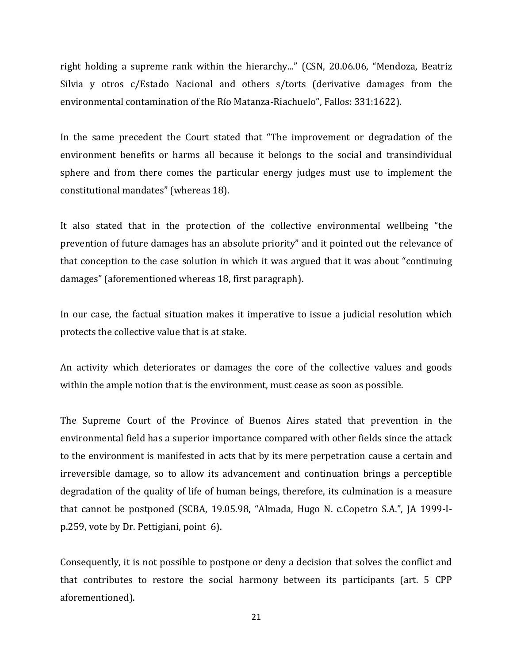right holding a supreme rank within the hierarchy..." (CSN, 20.06.06, "Mendoza, Beatriz Silvia y otros c/Estado Nacional and others s/torts (derivative damages from the environmental contamination of the Río Matanza-Riachuelo", Fallos: 331:1622).

In the same precedent the Court stated that "The improvement or degradation of the environment benefits or harms all because it belongs to the social and transindividual sphere and from there comes the particular energy judges must use to implement the constitutional mandates" (whereas 18).

It also stated that in the protection of the collective environmental wellbeing "the prevention of future damages has an absolute priority" and it pointed out the relevance of that conception to the case solution in which it was argued that it was about "continuing damages" (aforementioned whereas 18, first paragraph).

In our case, the factual situation makes it imperative to issue a judicial resolution which protects the collective value that is at stake.

An activity which deteriorates or damages the core of the collective values and goods within the ample notion that is the environment, must cease as soon as possible.

The Supreme Court of the Province of Buenos Aires stated that prevention in the environmental field has a superior importance compared with other fields since the attack to the environment is manifested in acts that by its mere perpetration cause a certain and irreversible damage, so to allow its advancement and continuation brings a perceptible degradation of the quality of life of human beings, therefore, its culmination is a measure that cannot be postponed (SCBA, 19.05.98, "Almada, Hugo N. c.Copetro S.A.", JA 1999-Ip.259, vote by Dr. Pettigiani, point 6).

Consequently, it is not possible to postpone or deny a decision that solves the conflict and that contributes to restore the social harmony between its participants (art. 5 CPP aforementioned).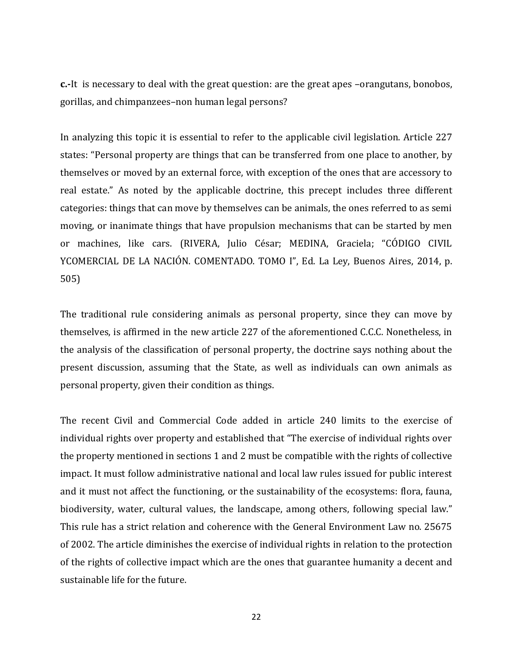**c.-**It is necessary to deal with the great question: are the great apes –orangutans, bonobos, gorillas, and chimpanzees–non human legal persons?

In analyzing this topic it is essential to refer to the applicable civil legislation. Article 227 states: "Personal property are things that can be transferred from one place to another, by themselves or moved by an external force, with exception of the ones that are accessory to real estate." As noted by the applicable doctrine, this precept includes three different categories: things that can move by themselves can be animals, the ones referred to as semi moving, or inanimate things that have propulsion mechanisms that can be started by men or machines, like cars. (RIVERA, Julio César; MEDINA, Graciela; "CÓDIGO CIVIL YCOMERCIAL DE LA NACIÓN. COMENTADO. TOMO I", Ed. La Ley, Buenos Aires, 2014, p. 505)

The traditional rule considering animals as personal property, since they can move by themselves, is affirmed in the new article 227 of the aforementioned C.C.C. Nonetheless, in the analysis of the classification of personal property, the doctrine says nothing about the present discussion, assuming that the State, as well as individuals can own animals as personal property, given their condition as things.

The recent Civil and Commercial Code added in article 240 limits to the exercise of individual rights over property and established that "The exercise of individual rights over the property mentioned in sections 1 and 2 must be compatible with the rights of collective impact. It must follow administrative national and local law rules issued for public interest and it must not affect the functioning, or the sustainability of the ecosystems: flora, fauna, biodiversity, water, cultural values, the landscape, among others, following special law." This rule has a strict relation and coherence with the General Environment Law no. 25675 of 2002. The article diminishes the exercise of individual rights in relation to the protection of the rights of collective impact which are the ones that guarantee humanity a decent and sustainable life for the future.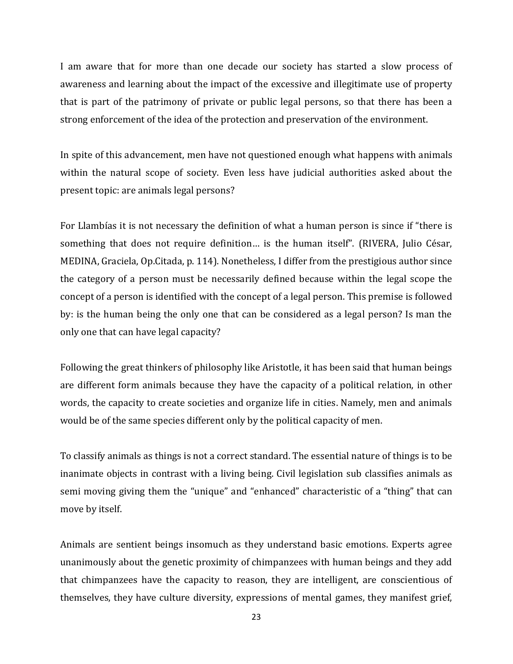I am aware that for more than one decade our society has started a slow process of awareness and learning about the impact of the excessive and illegitimate use of property that is part of the patrimony of private or public legal persons, so that there has been a strong enforcement of the idea of the protection and preservation of the environment.

In spite of this advancement, men have not questioned enough what happens with animals within the natural scope of society. Even less have judicial authorities asked about the present topic: are animals legal persons?

For Llambías it is not necessary the definition of what a human person is since if "there is something that does not require definition… is the human itself". (RIVERA, Julio César, MEDINA, Graciela, Op.Citada, p. 114). Nonetheless, I differ from the prestigious author since the category of a person must be necessarily defined because within the legal scope the concept of a person is identified with the concept of a legal person. This premise is followed by: is the human being the only one that can be considered as a legal person? Is man the only one that can have legal capacity?

Following the great thinkers of philosophy like Aristotle, it has been said that human beings are different form animals because they have the capacity of a political relation, in other words, the capacity to create societies and organize life in cities. Namely, men and animals would be of the same species different only by the political capacity of men.

To classify animals as things is not a correct standard. The essential nature of things is to be inanimate objects in contrast with a living being. Civil legislation sub classifies animals as semi moving giving them the "unique" and "enhanced" characteristic of a "thing" that can move by itself.

Animals are sentient beings insomuch as they understand basic emotions. Experts agree unanimously about the genetic proximity of chimpanzees with human beings and they add that chimpanzees have the capacity to reason, they are intelligent, are conscientious of themselves, they have culture diversity, expressions of mental games, they manifest grief,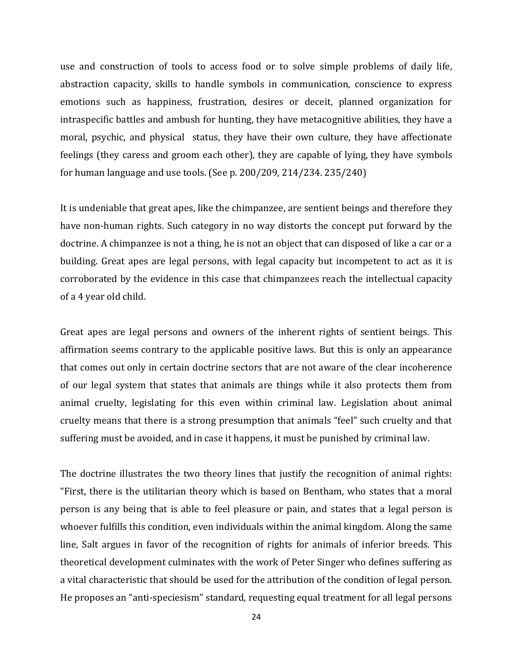use and construction of tools to access food or to solve simple problems of daily life, abstraction capacity, skills to handle symbols in communication, conscience to express emotions such as happiness, frustration, desires or deceit, planned organization for intraspecific battles and ambush for hunting, they have metacognitive abilities, they have a moral, psychic, and physical status, they have their own culture, they have affectionate feelings (they caress and groom each other), they are capable of lying, they have symbols for human language and use tools. (See p. 200/209, 214/234. 235/240)

It is undeniable that great apes, like the chimpanzee, are sentient beings and therefore they have non-human rights. Such category in no way distorts the concept put forward by the doctrine. A chimpanzee is not a thing, he is not an object that can disposed of like a car or a building. Great apes are legal persons, with legal capacity but incompetent to act as it is corroborated by the evidence in this case that chimpanzees reach the intellectual capacity of a 4 year old child.

Great apes are legal persons and owners of the inherent rights of sentient beings. This affirmation seems contrary to the applicable positive laws. But this is only an appearance that comes out only in certain doctrine sectors that are not aware of the clear incoherence of our legal system that states that animals are things while it also protects them from animal cruelty, legislating for this even within criminal law. Legislation about animal cruelty means that there is a strong presumption that animals "feel" such cruelty and that suffering must be avoided, and in case it happens, it must be punished by criminal law.

The doctrine illustrates the two theory lines that justify the recognition of animal rights: "First, there is the utilitarian theory which is based on Bentham, who states that a moral person is any being that is able to feel pleasure or pain, and states that a legal person is whoever fulfills this condition, even individuals within the animal kingdom. Along the same line, Salt argues in favor of the recognition of rights for animals of inferior breeds. This theoretical development culminates with the work of Peter Singer who defines suffering as a vital characteristic that should be used for the attribution of the condition of legal person. He proposes an "anti-speciesism" standard, requesting equal treatment for all legal persons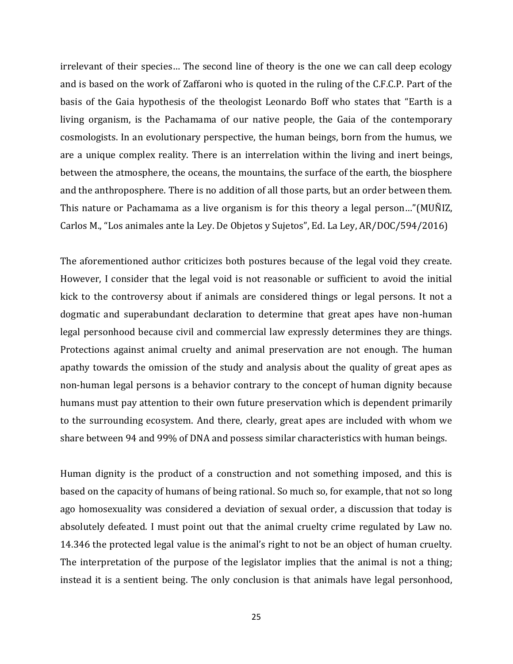irrelevant of their species… The second line of theory is the one we can call deep ecology and is based on the work of Zaffaroni who is quoted in the ruling of the C.F.C.P. Part of the basis of the Gaia hypothesis of the theologist Leonardo Boff who states that "Earth is a living organism, is the Pachamama of our native people, the Gaia of the contemporary cosmologists. In an evolutionary perspective, the human beings, born from the humus, we are a unique complex reality. There is an interrelation within the living and inert beings, between the atmosphere, the oceans, the mountains, the surface of the earth, the biosphere and the anthroposphere. There is no addition of all those parts, but an order between them. This nature or Pachamama as a live organism is for this theory a legal person…"(MUÑIZ, Carlos M., "Los animales ante la Ley. De Objetos y Sujetos", Ed. La Ley, AR/DOC/594/2016)

The aforementioned author criticizes both postures because of the legal void they create. However, I consider that the legal void is not reasonable or sufficient to avoid the initial kick to the controversy about if animals are considered things or legal persons. It not a dogmatic and superabundant declaration to determine that great apes have non-human legal personhood because civil and commercial law expressly determines they are things. Protections against animal cruelty and animal preservation are not enough. The human apathy towards the omission of the study and analysis about the quality of great apes as non-human legal persons is a behavior contrary to the concept of human dignity because humans must pay attention to their own future preservation which is dependent primarily to the surrounding ecosystem. And there, clearly, great apes are included with whom we share between 94 and 99% of DNA and possess similar characteristics with human beings.

Human dignity is the product of a construction and not something imposed, and this is based on the capacity of humans of being rational. So much so, for example, that not so long ago homosexuality was considered a deviation of sexual order, a discussion that today is absolutely defeated. I must point out that the animal cruelty crime regulated by Law no. 14.346 the protected legal value is the animal's right to not be an object of human cruelty. The interpretation of the purpose of the legislator implies that the animal is not a thing; instead it is a sentient being. The only conclusion is that animals have legal personhood,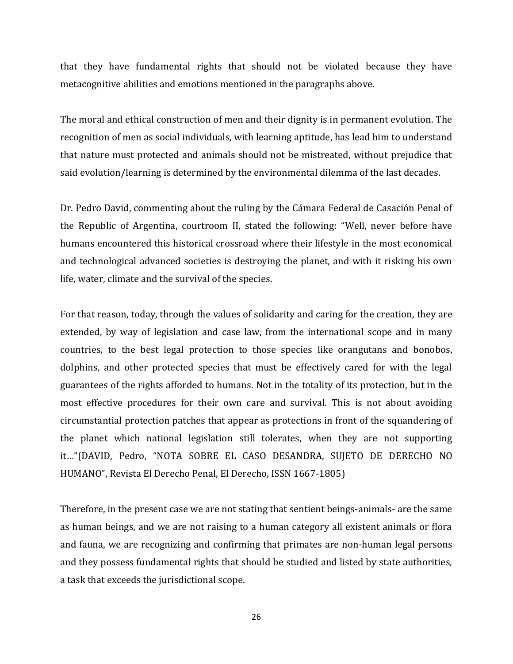that they have fundamental rights that should not be violated because they have metacognitive abilities and emotions mentioned in the paragraphs above.

The moral and ethical construction of men and their dignity is in permanent evolution. The recognition of men as social individuals, with learning aptitude, has lead him to understand that nature must protected and animals should not be mistreated, without prejudice that said evolution/learning is determined by the environmental dilemma of the last decades.

Dr. Pedro David, commenting about the ruling by the Cámara Federal de Casación Penal of the Republic of Argentina, courtroom II, stated the following: "Well, never before have humans encountered this historical crossroad where their lifestyle in the most economical and technological advanced societies is destroying the planet, and with it risking his own life, water, climate and the survival of the species.

For that reason, today, through the values of solidarity and caring for the creation, they are extended, by way of legislation and case law, from the international scope and in many countries, to the best legal protection to those species like orangutans and bonobos, dolphins, and other protected species that must be effectively cared for with the legal guarantees of the rights afforded to humans. Not in the totality of its protection, but in the most effective procedures for their own care and survival. This is not about avoiding circumstantial protection patches that appear as protections in front of the squandering of the planet which national legislation still tolerates, when they are not supporting it…"(DAVID, Pedro, "NOTA SOBRE EL CASO DESANDRA, SUJETO DE DERECHO NO HUMANO", Revista El Derecho Penal, El Derecho, ISSN 1667-1805)

Therefore, in the present case we are not stating that sentient beings-animals- are the same as human beings, and we are not raising to a human category all existent animals or flora and fauna, we are recognizing and confirming that primates are non-human legal persons and they possess fundamental rights that should be studied and listed by state authorities, a task that exceeds the jurisdictional scope.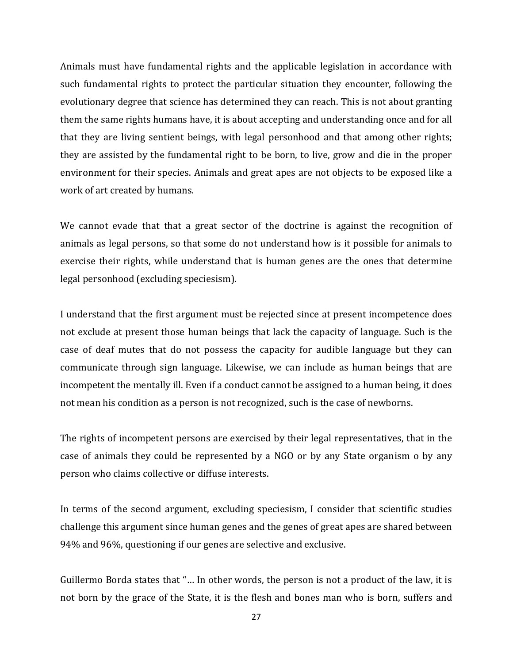Animals must have fundamental rights and the applicable legislation in accordance with such fundamental rights to protect the particular situation they encounter, following the evolutionary degree that science has determined they can reach. This is not about granting them the same rights humans have, it is about accepting and understanding once and for all that they are living sentient beings, with legal personhood and that among other rights; they are assisted by the fundamental right to be born, to live, grow and die in the proper environment for their species. Animals and great apes are not objects to be exposed like a work of art created by humans.

We cannot evade that that a great sector of the doctrine is against the recognition of animals as legal persons, so that some do not understand how is it possible for animals to exercise their rights, while understand that is human genes are the ones that determine legal personhood (excluding speciesism).

I understand that the first argument must be rejected since at present incompetence does not exclude at present those human beings that lack the capacity of language. Such is the case of deaf mutes that do not possess the capacity for audible language but they can communicate through sign language. Likewise, we can include as human beings that are incompetent the mentally ill. Even if a conduct cannot be assigned to a human being, it does not mean his condition as a person is not recognized, such is the case of newborns.

The rights of incompetent persons are exercised by their legal representatives, that in the case of animals they could be represented by a NGO or by any State organism o by any person who claims collective or diffuse interests.

In terms of the second argument, excluding speciesism, I consider that scientific studies challenge this argument since human genes and the genes of great apes are shared between 94% and 96%, questioning if our genes are selective and exclusive.

Guillermo Borda states that "… In other words, the person is not a product of the law, it is not born by the grace of the State, it is the flesh and bones man who is born, suffers and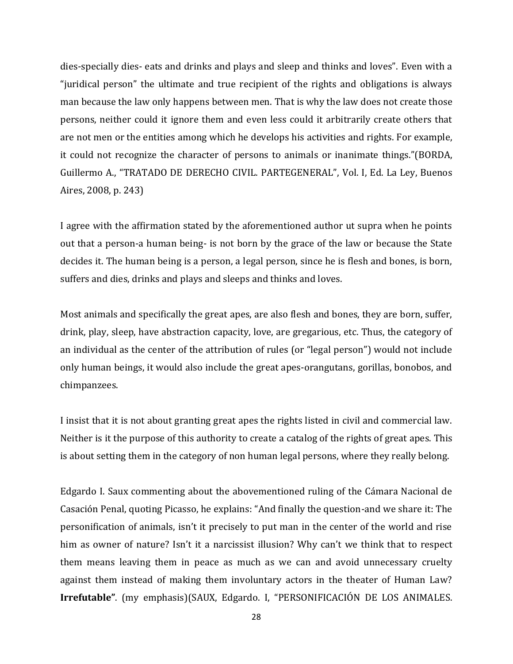dies-specially dies- eats and drinks and plays and sleep and thinks and loves". Even with a "juridical person" the ultimate and true recipient of the rights and obligations is always man because the law only happens between men. That is why the law does not create those persons, neither could it ignore them and even less could it arbitrarily create others that are not men or the entities among which he develops his activities and rights. For example, it could not recognize the character of persons to animals or inanimate things."(BORDA, Guillermo A., "TRATADO DE DERECHO CIVIL. PARTEGENERAL", Vol. I, Ed. La Ley, Buenos Aires, 2008, p. 243)

I agree with the affirmation stated by the aforementioned author ut supra when he points out that a person-a human being- is not born by the grace of the law or because the State decides it. The human being is a person, a legal person, since he is flesh and bones, is born, suffers and dies, drinks and plays and sleeps and thinks and loves.

Most animals and specifically the great apes, are also flesh and bones, they are born, suffer, drink, play, sleep, have abstraction capacity, love, are gregarious, etc. Thus, the category of an individual as the center of the attribution of rules (or "legal person") would not include only human beings, it would also include the great apes-orangutans, gorillas, bonobos, and chimpanzees.

I insist that it is not about granting great apes the rights listed in civil and commercial law. Neither is it the purpose of this authority to create a catalog of the rights of great apes. This is about setting them in the category of non human legal persons, where they really belong.

Edgardo I. Saux commenting about the abovementioned ruling of the Cámara Nacional de Casación Penal, quoting Picasso, he explains: "And finally the question-and we share it: The personification of animals, isn't it precisely to put man in the center of the world and rise him as owner of nature? Isn't it a narcissist illusion? Why can't we think that to respect them means leaving them in peace as much as we can and avoid unnecessary cruelty against them instead of making them involuntary actors in the theater of Human Law? **Irrefutable"**. (my emphasis)(SAUX, Edgardo. I, "PERSONIFICACIÓN DE LOS ANIMALES.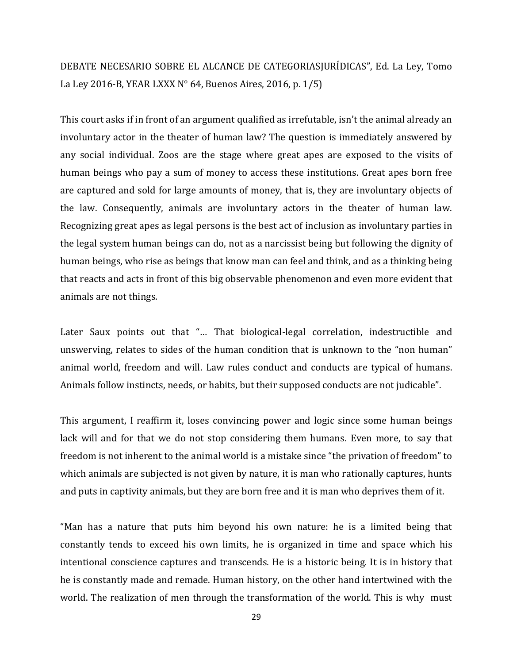DEBATE NECESARIO SOBRE EL ALCANCE DE CATEGORIASJURÍDICAS", Ed. La Ley, Tomo La Ley 2016-B, YEAR LXXX N° 64, Buenos Aires, 2016, p. 1/5)

This court asks if in front of an argument qualified as irrefutable, isn't the animal already an involuntary actor in the theater of human law? The question is immediately answered by any social individual. Zoos are the stage where great apes are exposed to the visits of human beings who pay a sum of money to access these institutions. Great apes born free are captured and sold for large amounts of money, that is, they are involuntary objects of the law. Consequently, animals are involuntary actors in the theater of human law. Recognizing great apes as legal persons is the best act of inclusion as involuntary parties in the legal system human beings can do, not as a narcissist being but following the dignity of human beings, who rise as beings that know man can feel and think, and as a thinking being that reacts and acts in front of this big observable phenomenon and even more evident that animals are not things.

Later Saux points out that "… That biological-legal correlation, indestructible and unswerving, relates to sides of the human condition that is unknown to the "non human" animal world, freedom and will. Law rules conduct and conducts are typical of humans. Animals follow instincts, needs, or habits, but their supposed conducts are not judicable".

This argument, I reaffirm it, loses convincing power and logic since some human beings lack will and for that we do not stop considering them humans. Even more, to say that freedom is not inherent to the animal world is a mistake since "the privation of freedom" to which animals are subjected is not given by nature, it is man who rationally captures, hunts and puts in captivity animals, but they are born free and it is man who deprives them of it.

"Man has a nature that puts him beyond his own nature: he is a limited being that constantly tends to exceed his own limits, he is organized in time and space which his intentional conscience captures and transcends. He is a historic being. It is in history that he is constantly made and remade. Human history, on the other hand intertwined with the world. The realization of men through the transformation of the world. This is why must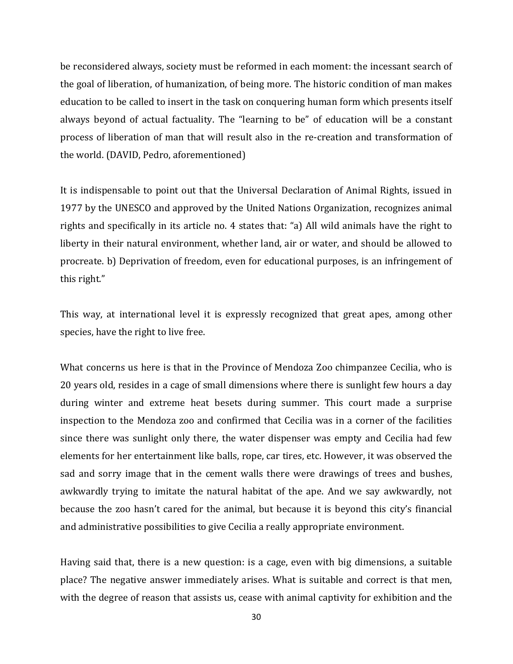be reconsidered always, society must be reformed in each moment: the incessant search of the goal of liberation, of humanization, of being more. The historic condition of man makes education to be called to insert in the task on conquering human form which presents itself always beyond of actual factuality. The "learning to be" of education will be a constant process of liberation of man that will result also in the re-creation and transformation of the world. (DAVID, Pedro, aforementioned)

It is indispensable to point out that the Universal Declaration of Animal Rights, issued in 1977 by the UNESCO and approved by the United Nations Organization, recognizes animal rights and specifically in its article no. 4 states that: "a) All wild animals have the right to liberty in their natural environment, whether land, air or water, and should be allowed to procreate. b) Deprivation of freedom, even for educational purposes, is an infringement of this right."

This way, at international level it is expressly recognized that great apes, among other species, have the right to live free.

What concerns us here is that in the Province of Mendoza Zoo chimpanzee Cecilia, who is 20 years old, resides in a cage of small dimensions where there is sunlight few hours a day during winter and extreme heat besets during summer. This court made a surprise inspection to the Mendoza zoo and confirmed that Cecilia was in a corner of the facilities since there was sunlight only there, the water dispenser was empty and Cecilia had few elements for her entertainment like balls, rope, car tires, etc. However, it was observed the sad and sorry image that in the cement walls there were drawings of trees and bushes, awkwardly trying to imitate the natural habitat of the ape. And we say awkwardly, not because the zoo hasn't cared for the animal, but because it is beyond this city's financial and administrative possibilities to give Cecilia a really appropriate environment.

Having said that, there is a new question: is a cage, even with big dimensions, a suitable place? The negative answer immediately arises. What is suitable and correct is that men, with the degree of reason that assists us, cease with animal captivity for exhibition and the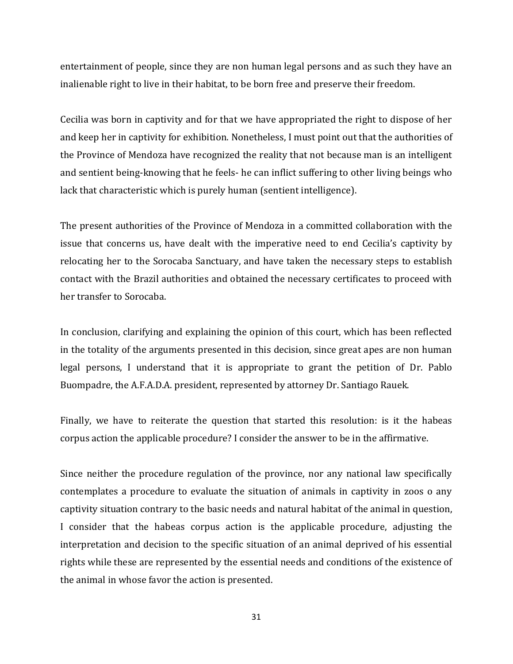entertainment of people, since they are non human legal persons and as such they have an inalienable right to live in their habitat, to be born free and preserve their freedom.

Cecilia was born in captivity and for that we have appropriated the right to dispose of her and keep her in captivity for exhibition. Nonetheless, I must point out that the authorities of the Province of Mendoza have recognized the reality that not because man is an intelligent and sentient being-knowing that he feels- he can inflict suffering to other living beings who lack that characteristic which is purely human (sentient intelligence).

The present authorities of the Province of Mendoza in a committed collaboration with the issue that concerns us, have dealt with the imperative need to end Cecilia's captivity by relocating her to the Sorocaba Sanctuary, and have taken the necessary steps to establish contact with the Brazil authorities and obtained the necessary certificates to proceed with her transfer to Sorocaba.

In conclusion, clarifying and explaining the opinion of this court, which has been reflected in the totality of the arguments presented in this decision, since great apes are non human legal persons, I understand that it is appropriate to grant the petition of Dr. Pablo Buompadre, the A.F.A.D.A. president, represented by attorney Dr. Santiago Rauek.

Finally, we have to reiterate the question that started this resolution: is it the habeas corpus action the applicable procedure? I consider the answer to be in the affirmative.

Since neither the procedure regulation of the province, nor any national law specifically contemplates a procedure to evaluate the situation of animals in captivity in zoos o any captivity situation contrary to the basic needs and natural habitat of the animal in question, I consider that the habeas corpus action is the applicable procedure, adjusting the interpretation and decision to the specific situation of an animal deprived of his essential rights while these are represented by the essential needs and conditions of the existence of the animal in whose favor the action is presented.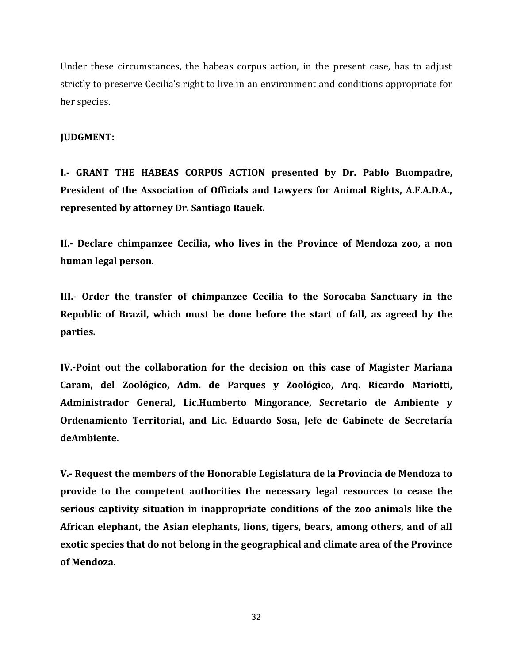Under these circumstances, the habeas corpus action, in the present case, has to adjust strictly to preserve Cecilia's right to live in an environment and conditions appropriate for her species.

### **JUDGMENT:**

**I.- GRANT THE HABEAS CORPUS ACTION presented by Dr. Pablo Buompadre, President of the Association of Officials and Lawyers for Animal Rights, A.F.A.D.A., represented by attorney Dr. Santiago Rauek.**

**II.- Declare chimpanzee Cecilia, who lives in the Province of Mendoza zoo, a non human legal person.** 

**III.- Order the transfer of chimpanzee Cecilia to the Sorocaba Sanctuary in the Republic of Brazil, which must be done before the start of fall, as agreed by the parties.** 

**IV.-Point out the collaboration for the decision on this case of Magister Mariana Caram, del Zoológico, Adm. de Parques y Zoológico, Arq. Ricardo Mariotti, Administrador General, Lic.Humberto Mingorance, Secretario de Ambiente y Ordenamiento Territorial, and Lic. Eduardo Sosa, Jefe de Gabinete de Secretaría deAmbiente.**

**V.- Request the members of the Honorable Legislatura de la Provincia de Mendoza to provide to the competent authorities the necessary legal resources to cease the serious captivity situation in inappropriate conditions of the zoo animals like the African elephant, the Asian elephants, lions, tigers, bears, among others, and of all exotic species that do not belong in the geographical and climate area of the Province of Mendoza.**